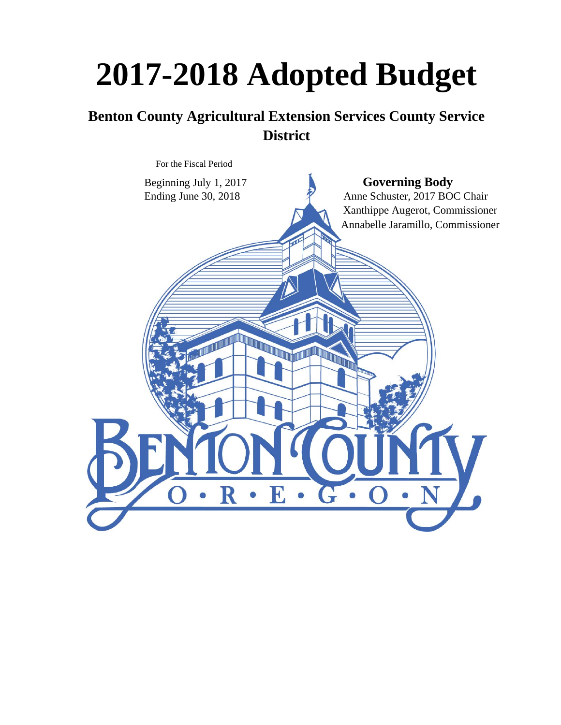# **2017-2018 Adopted Budget**

# **Benton County Agricultural Extension Services County Service District**

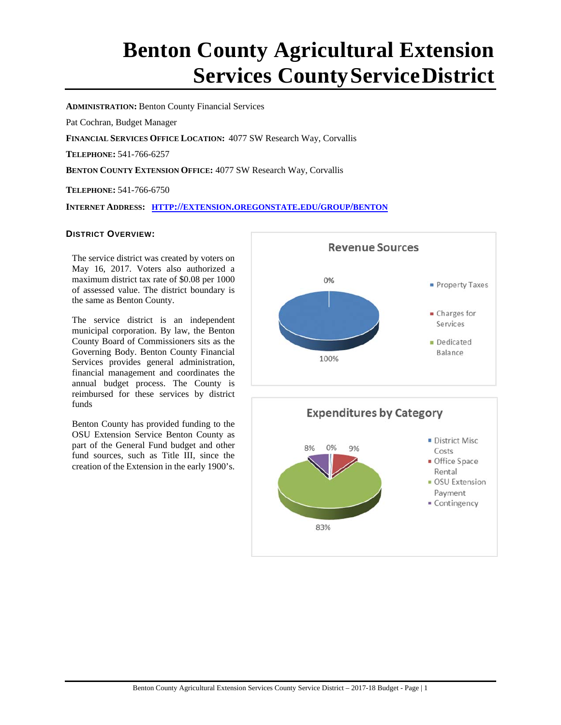# **Benton County Agricultural Extension Services CountyServiceDistrict**

**ADMINISTRATION:** Benton County Financial Services

Pat Cochran, Budget Manager

**FINANCIAL SERVICES OFFICE LOCATION:** 4077 SW Research Way, Corvallis

**TELEPHONE:** 541-766-6257

**BENTON COUNTY EXTENSION OFFICE:** 4077 SW Research Way, Corvallis

**TELEPHONE:** 541-766-6750

**INTERNET ADDRESS: HTTP://EXTENSION.OREGONSTATE.EDU/GROUP/BENTON**

#### **DISTRICT OVERVIEW:**

 The service district was created by voters on May 16, 2017. Voters also authorized a maximum district tax rate of \$0.08 per 1000 of assessed value. The district boundary is the same as Benton County.

The service district is an independent municipal corporation. By law, the Benton County Board of Commissioners sits as the Governing Body. Benton County Financial Services provides general administration, financial management and coordinates the annual budget process. The County is reimbursed for these services by district funds

Benton County has provided funding to the OSU Extension Service Benton County as part of the General Fund budget and other fund sources, such as Title III, since the creation of the Extension in the early 1900's.



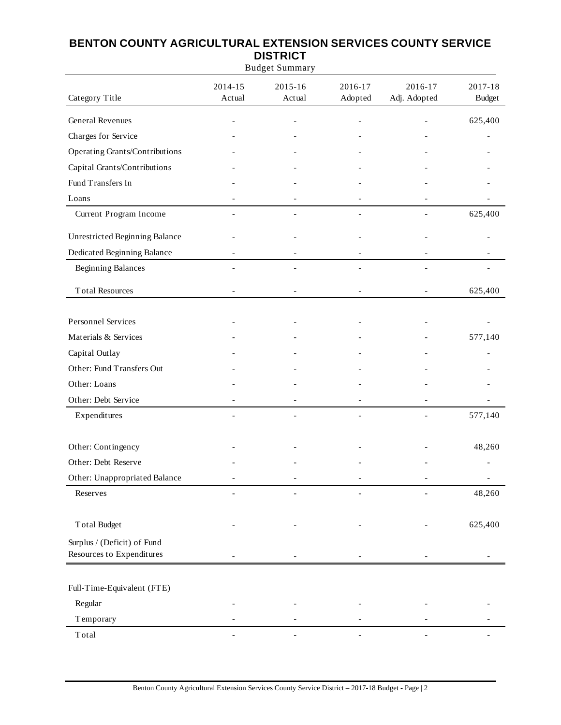| <b>Budget Summary</b>                                    |                   |                   |                    |                         |                          |
|----------------------------------------------------------|-------------------|-------------------|--------------------|-------------------------|--------------------------|
| Category Title                                           | 2014-15<br>Actual | 2015-16<br>Actual | 2016-17<br>Adopted | 2016-17<br>Adj. Adopted | 2017-18<br><b>Budget</b> |
| <b>General Revenues</b>                                  |                   |                   |                    |                         | 625,400                  |
| Charges for Service                                      |                   |                   |                    |                         |                          |
| Operating Grants/Contributions                           |                   |                   |                    |                         |                          |
| Capital Grants/Contributions                             |                   |                   |                    |                         |                          |
| Fund Transfers In                                        |                   |                   |                    |                         |                          |
| Loans                                                    |                   |                   |                    |                         |                          |
| Current Program Income                                   |                   |                   |                    |                         | 625,400                  |
| <b>Unrestricted Beginning Balance</b>                    |                   |                   |                    |                         |                          |
| Dedicated Beginning Balance                              |                   |                   |                    |                         |                          |
| <b>Beginning Balances</b>                                |                   |                   |                    |                         |                          |
| <b>Total Resources</b>                                   |                   |                   |                    |                         | 625,400                  |
| <b>Personnel Services</b>                                |                   |                   |                    |                         |                          |
| Materials & Services                                     |                   |                   |                    |                         | 577,140                  |
| Capital Outlay                                           |                   |                   |                    |                         |                          |
| Other: Fund Transfers Out                                |                   |                   |                    |                         |                          |
| Other: Loans                                             |                   |                   |                    |                         |                          |
| Other: Debt Service                                      |                   |                   |                    |                         |                          |
| Expenditures                                             |                   |                   |                    |                         | 577,140                  |
|                                                          |                   |                   |                    |                         | 48,260                   |
| Other: Contingency<br>Other: Debt Reserve                |                   |                   |                    |                         |                          |
| Other: Unappropriated Balance                            |                   |                   |                    |                         |                          |
| Reserves                                                 |                   |                   |                    |                         | 48,260                   |
|                                                          |                   |                   |                    |                         |                          |
| <b>Total Budget</b>                                      |                   |                   |                    |                         | 625,400                  |
| Surplus / (Deficit) of Fund<br>Resources to Expenditures |                   |                   |                    |                         |                          |
|                                                          |                   |                   |                    |                         |                          |
| Full-Time-Equivalent (FTE)                               |                   |                   |                    |                         |                          |
| Regular                                                  |                   |                   |                    |                         |                          |
| Temporary                                                |                   |                   |                    |                         |                          |
| $\operatorname{\mathsf{Total}}$                          |                   |                   |                    | $\overline{a}$          |                          |

# **BENTON COUNTY AGRICULTURAL EXTENSION SERVICES COUNTY SERVICE DISTRICT**